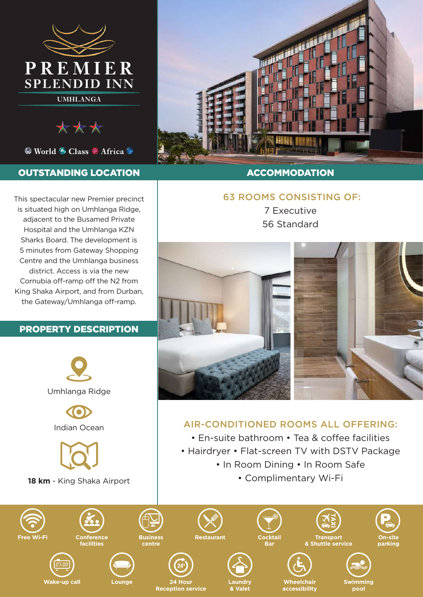

\*\*\*

<sup>©</sup> World <sup>⊙</sup> Class <sup>©</sup> Africa <sup>©</sup>

### OUTSTANDING LOCATION

This spectacular new Premier precinct is situated high on Umhlanga Ridge, adjacent to the Busamed Private Hospital and the Umhlanga KZN Sharks Board. The development is 5 minutes from Gateway Shopping Centre and the Umhlanga business district. Access is via the new Cornubia off-ramp off the N2 from King Shaka Airport, and from Durban, the Gateway/Umhlanga off-ramp.

#### PROPERTY DESCRIPTION





### **ACCOMMODATION**

# 63 ROOMS CONSISTING OF:

7 Executive 56 Standard



## AIR-CONDITIONED ROOMS ALL OFFERING:

- En-suite bathroom Tea & coffee facilities
- Hairdryer Flat-screen TV with DSTV Package
	- In Room Dining In Room Safe
		- Complimentary Wi-Fi





**accessibility**





**pool**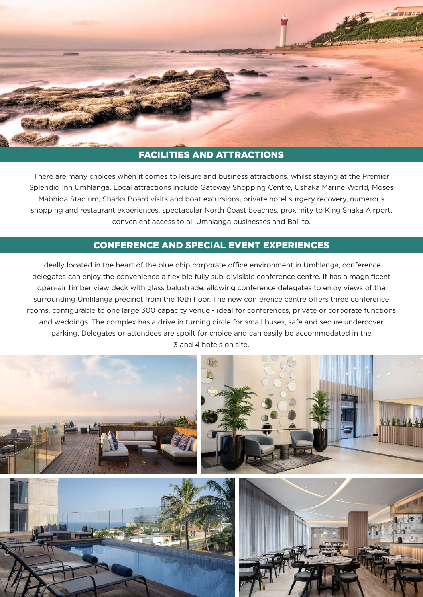

## FACILITIES AND ATTRACTIONS

There are many choices when it comes to leisure and business attractions, whilst staying at the Premier Splendid Inn Umhlanga. Local attractions include Gateway Shopping Centre, Ushaka Marine World, Moses Mabhida Stadium, Sharks Board visits and boat excursions, private hotel surgery recovery, numerous shopping and restaurant experiences, spectacular North Coast beaches, proximity to King Shaka Airport, convenient access to all Umhlanga businesses and Ballito.

## CONFERENCE AND SPECIAL EVENT EXPERIENCES

Ideally located in the heart of the blue chip corporate office environment in Umhlanga, conference delegates can enjoy the convenience a flexible fully sub-divisible conference centre. It has a magnificent open-air timber view deck with glass balustrade, allowing conference delegates to enjoy views of the surrounding Umhlanga precinct from the 10th floor. The new conference centre offers three conference rooms, configurable to one large 300 capacity venue - ideal for conferences, private or corporate functions and weddings. The complex has a drive in turning circle for small buses, safe and secure undercover parking. Delegates or attendees are spoilt for choice and can easily be accommodated in the 3 and 4 hotels on site.